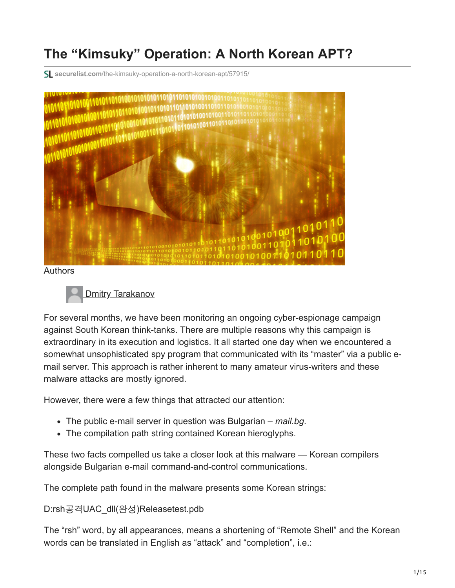# **The "Kimsuky" Operation: A North Korean APT?**

**securelist.com**[/the-kimsuky-operation-a-north-korean-apt/57915/](https://securelist.com/the-kimsuky-operation-a-north-korean-apt/57915/)



Authors



For several months, we have been monitoring an ongoing cyber-espionage campaign against South Korean think-tanks. There are multiple reasons why this campaign is extraordinary in its execution and logistics. It all started one day when we encountered a somewhat unsophisticated spy program that communicated with its "master" via a public email server. This approach is rather inherent to many amateur virus-writers and these malware attacks are mostly ignored.

However, there were a few things that attracted our attention:

- The public e-mail server in question was Bulgarian *mail.bg*.
- The compilation path string contained Korean hieroglyphs.

These two facts compelled us take a closer look at this malware — Korean compilers alongside Bulgarian e-mail command-and-control communications.

The complete path found in the malware presents some Korean strings:

D:rsh공격UAC\_dll(완성)Releasetest.pdb

The "rsh" word, by all appearances, means a shortening of "Remote Shell" and the Korean words can be translated in English as "attack" and "completion", i.e.: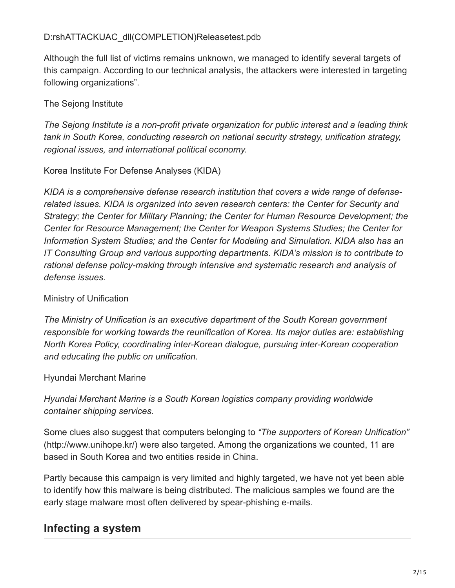Although the full list of victims remains unknown, we managed to identify several targets of this campaign. According to our technical analysis, the attackers were interested in targeting following organizations".

#### The Sejong Institute

*The Sejong Institute is a non-profit private organization for public interest and a leading think tank in South Korea, conducting research on national security strategy, unification strategy, regional issues, and international political economy.*

#### Korea Institute For Defense Analyses (KIDA)

*KIDA is a comprehensive defense research institution that covers a wide range of defenserelated issues. KIDA is organized into seven research centers: the Center for Security and Strategy; the Center for Military Planning; the Center for Human Resource Development; the Center for Resource Management; the Center for Weapon Systems Studies; the Center for Information System Studies; and the Center for Modeling and Simulation. KIDA also has an IT Consulting Group and various supporting departments. KIDA's mission is to contribute to rational defense policy-making through intensive and systematic research and analysis of defense issues.*

#### Ministry of Unification

*The Ministry of Unification is an executive department of the South Korean government responsible for working towards the reunification of Korea. Its major duties are: establishing North Korea Policy, coordinating inter-Korean dialogue, pursuing inter-Korean cooperation and educating the public on unification.*

#### Hyundai Merchant Marine

*Hyundai Merchant Marine is a South Korean logistics company providing worldwide container shipping services.*

Some clues also suggest that computers belonging to *"The supporters of Korean Unification"* (http://www.unihope.kr/) were also targeted. Among the organizations we counted, 11 are based in South Korea and two entities reside in China.

Partly because this campaign is very limited and highly targeted, we have not yet been able to identify how this malware is being distributed. The malicious samples we found are the early stage malware most often delivered by spear-phishing e-mails.

# **Infecting a system**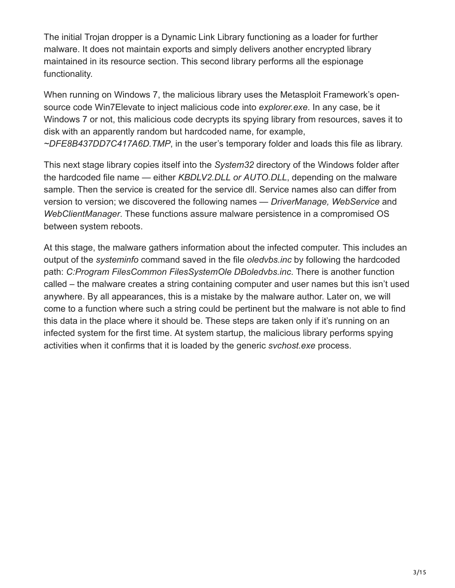The initial Trojan dropper is a Dynamic Link Library functioning as a loader for further malware. It does not maintain exports and simply delivers another encrypted library maintained in its resource section. This second library performs all the espionage functionality.

When running on Windows 7, the malicious library uses the Metasploit Framework's opensource code Win7Elevate to inject malicious code into *explorer.exe*. In any case, be it Windows 7 or not, this malicious code decrypts its spying library from resources, saves it to disk with an apparently random but hardcoded name, for example, *~DFE8B437DD7C417A6D.TMP*, in the user's temporary folder and loads this file as library.

This next stage library copies itself into the *System32* directory of the Windows folder after the hardcoded file name — either *KBDLV2.DLL or AUTO.DLL*, depending on the malware sample. Then the service is created for the service dll. Service names also can differ from version to version; we discovered the following names — *DriverManage, WebService* and *WebClientManager*. These functions assure malware persistence in a compromised OS between system reboots.

At this stage, the malware gathers information about the infected computer. This includes an output of the *systeminfo* command saved in the file *oledvbs.inc* by following the hardcoded path: *C:Program FilesCommon FilesSystemOle DBoledvbs.inc*. There is another function called – the malware creates a string containing computer and user names but this isn't used anywhere. By all appearances, this is a mistake by the malware author. Later on, we will come to a function where such a string could be pertinent but the malware is not able to find this data in the place where it should be. These steps are taken only if it's running on an infected system for the first time. At system startup, the malicious library performs spying activities when it confirms that it is loaded by the generic *svchost.exe* process.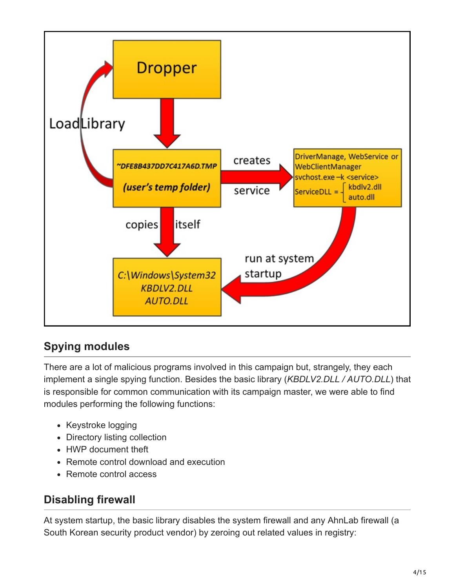

# **Spying modules**

There are a lot of malicious programs involved in this campaign but, strangely, they each implement a single spying function. Besides the basic library (*KBDLV2.DLL / AUTO.DLL*) that is responsible for common communication with its campaign master, we were able to find modules performing the following functions:

- Keystroke logging
- Directory listing collection
- HWP document theft
- Remote control download and execution
- Remote control access

### **Disabling firewall**

At system startup, the basic library disables the system firewall and any AhnLab firewall (a South Korean security product vendor) by zeroing out related values in registry: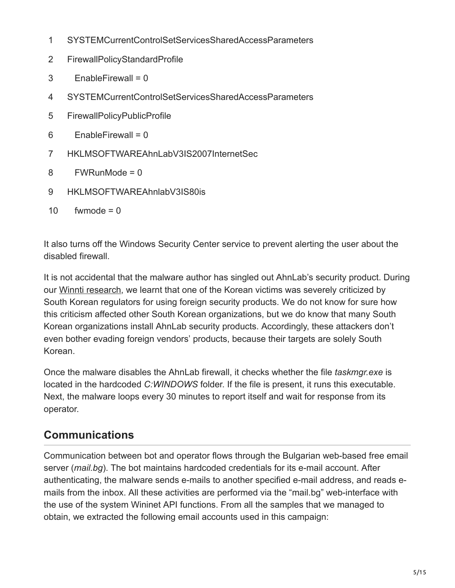- 1 SYSTEMCurrentControlSetServicesSharedAccessParameters
- 2 FirewallPolicyStandardProfile
- 3  $EnableFirewall = 0$
- 4 SYSTEMCurrentControlSetServicesSharedAccessParameters
- 5 FirewallPolicyPublicProfile
- 6  $EnableFirewall = 0$
- 7 HKLMSOFTWAREAhnLabV3IS2007InternetSec
- 8 FWRunMode = 0
- 9 HKLMSOFTWAREAhnlabV3IS80is
- 10  $fwmode = 0$

It also turns off the Windows Security Center service to prevent alerting the user about the disabled firewall.

It is not accidental that the malware author has singled out AhnLab's security product. During our [Winnti research](https://securelist.com/winnti-more-than-just-a-game/37029/), we learnt that one of the Korean victims was severely criticized by South Korean regulators for using foreign security products. We do not know for sure how this criticism affected other South Korean organizations, but we do know that many South Korean organizations install AhnLab security products. Accordingly, these attackers don't even bother evading foreign vendors' products, because their targets are solely South Korean.

Once the malware disables the AhnLab firewall, it checks whether the file *taskmgr.exe* is located in the hardcoded *C:WINDOWS* folder. If the file is present, it runs this executable. Next, the malware loops every 30 minutes to report itself and wait for response from its operator.

# **Communications**

Communication between bot and operator flows through the Bulgarian web-based free email server (*mail.bg*). The bot maintains hardcoded credentials for its e-mail account. After authenticating, the malware sends e-mails to another specified e-mail address, and reads emails from the inbox. All these activities are performed via the "mail.bg" web-interface with the use of the system Wininet API functions. From all the samples that we managed to obtain, we extracted the following email accounts used in this campaign: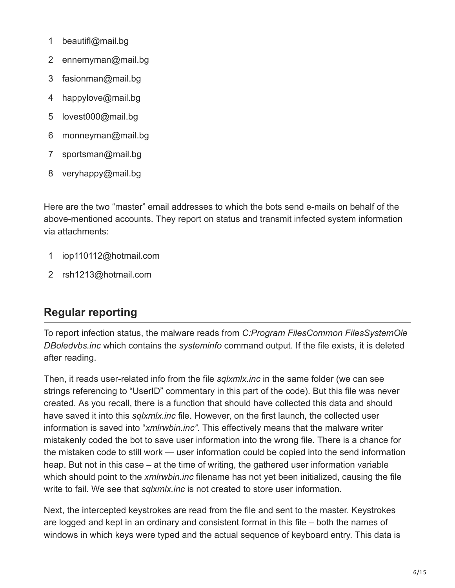- 1 beautifl@mail.bg
- 2 ennemyman@mail.bg
- 3 fasionman@mail.bg
- 4 happylove@mail.bg
- 5 lovest000@mail.bg
- 6 monneyman@mail.bg
- 7 sportsman@mail.bg
- 8 veryhappy@mail.bg

Here are the two "master" email addresses to which the bots send e-mails on behalf of the above-mentioned accounts. They report on status and transmit infected system information via attachments:

- 1 iop110112@hotmail.com
- 2 rsh1213@hotmail.com

### **Regular reporting**

To report infection status, the malware reads from *C:Program FilesCommon FilesSystemOle DBoledvbs.inc* which contains the *systeminfo* command output. If the file exists, it is deleted after reading.

Then, it reads user-related info from the file *sqlxmlx.inc* in the same folder (we can see strings referencing to "UserID" commentary in this part of the code). But this file was never created. As you recall, there is a function that should have collected this data and should have saved it into this *sqlxmlx.inc* file. However, on the first launch, the collected user information is saved into "*xmlrwbin.inc"*. This effectively means that the malware writer mistakenly coded the bot to save user information into the wrong file. There is a chance for the mistaken code to still work — user information could be copied into the send information heap. But not in this case – at the time of writing, the gathered user information variable which should point to the *xmlrwbin.inc* filename has not yet been initialized, causing the file write to fail. We see that *sqlxmlx.inc* is not created to store user information.

Next, the intercepted keystrokes are read from the file and sent to the master. Keystrokes are logged and kept in an ordinary and consistent format in this file – both the names of windows in which keys were typed and the actual sequence of keyboard entry. This data is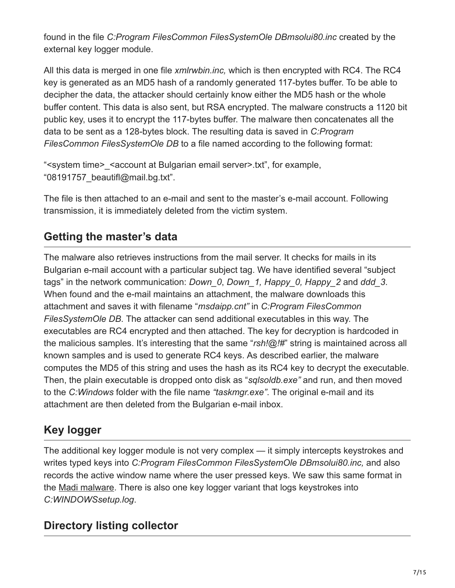found in the file *C:Program FilesCommon FilesSystemOle DBmsolui80.inc* created by the external key logger module.

All this data is merged in one file *xmlrwbin.inc,* which is then encrypted with RC4. The RC4 key is generated as an MD5 hash of a randomly generated 117-bytes buffer. To be able to decipher the data, the attacker should certainly know either the MD5 hash or the whole buffer content. This data is also sent, but RSA encrypted. The malware constructs a 1120 bit public key, uses it to encrypt the 117-bytes buffer. The malware then concatenates all the data to be sent as a 128-bytes block. The resulting data is saved in *C:Program FilesCommon FilesSystemOle DB* to a file named according to the following format:

"<system time>\_<account at Bulgarian email server>.txt", for example, "08191757\_beautifl@mail.bg.txt".

The file is then attached to an e-mail and sent to the master's e-mail account. Following transmission, it is immediately deleted from the victim system.

# **Getting the master's data**

The malware also retrieves instructions from the mail server. It checks for mails in its Bulgarian e-mail account with a particular subject tag. We have identified several "subject tags" in the network communication: *Down\_0*, *Down\_1, Happy\_0, Happy\_2* and *ddd\_3*. When found and the e-mail maintains an attachment, the malware downloads this attachment and saves it with filename "*msdaipp.cnt"* in *C:Program FilesCommon FilesSystemOle DB*. The attacker can send additional executables in this way. The executables are RC4 encrypted and then attached. The key for decryption is hardcoded in the malicious samples. It's interesting that the same "*rsh!@!#*" string is maintained across all known samples and is used to generate RC4 keys. As described earlier, the malware computes the MD5 of this string and uses the hash as its RC4 key to decrypt the executable. Then, the plain executable is dropped onto disk as "*sqlsoldb.exe"* and run, and then moved to the *C:Windows* folder with the file name *"taskmgr.exe"*. The original e-mail and its attachment are then deleted from the Bulgarian e-mail inbox.

# **Key logger**

The additional key logger module is not very complex — it simply intercepts keystrokes and writes typed keys into *C:Program FilesCommon FilesSystemOle DBmsolui80.inc,* and also records the active window name where the user pressed keys. We saw this same format in the [Madi malware.](http://www.kaspersky.com/about/news/virus/2012/kaspersky_lab_and_seculert_announce_madi_a_newly_discovered_cyber_espionage_campaign_in_the_middle_east) There is also one key logger variant that logs keystrokes into *C:WINDOWSsetup.log*.

### **Directory listing collector**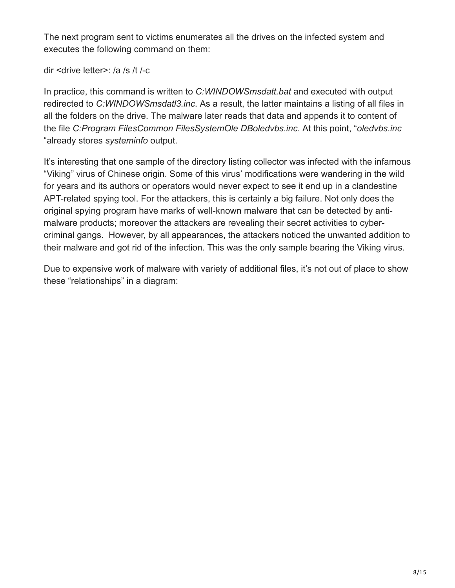The next program sent to victims enumerates all the drives on the infected system and executes the following command on them:

dir <drive letter>: /a /s /t /-c

In practice, this command is written to *C:WINDOWSmsdatt.bat* and executed with output redirected to *C:WINDOWSmsdatl3.inc*. As a result, the latter maintains a listing of all files in all the folders on the drive. The malware later reads that data and appends it to content of the file *C:Program FilesCommon FilesSystemOle DBoledvbs.inc*. At this point, "*oledvbs.inc* "already stores *systeminfo* output.

It's interesting that one sample of the directory listing collector was infected with the infamous "Viking" virus of Chinese origin. Some of this virus' modifications were wandering in the wild for years and its authors or operators would never expect to see it end up in a clandestine APT-related spying tool. For the attackers, this is certainly a big failure. Not only does the original spying program have marks of well-known malware that can be detected by antimalware products; moreover the attackers are revealing their secret activities to cybercriminal gangs. However, by all appearances, the attackers noticed the unwanted addition to their malware and got rid of the infection. This was the only sample bearing the Viking virus.

Due to expensive work of malware with variety of additional files, it's not out of place to show these "relationships" in a diagram: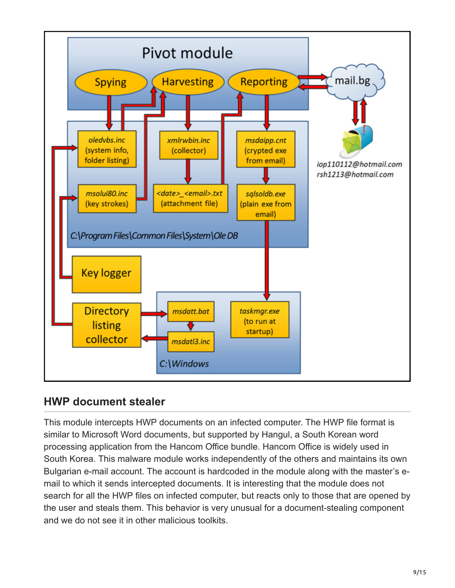

### **HWP document stealer**

This module intercepts HWP documents on an infected computer. The HWP file format is similar to Microsoft Word documents, but supported by Hangul, a South Korean word processing application from the Hancom Office bundle. Hancom Office is widely used in South Korea. This malware module works independently of the others and maintains its own Bulgarian e-mail account. The account is hardcoded in the module along with the master's email to which it sends intercepted documents. It is interesting that the module does not search for all the HWP files on infected computer, but reacts only to those that are opened by the user and steals them. This behavior is very unusual for a document-stealing component and we do not see it in other malicious toolkits.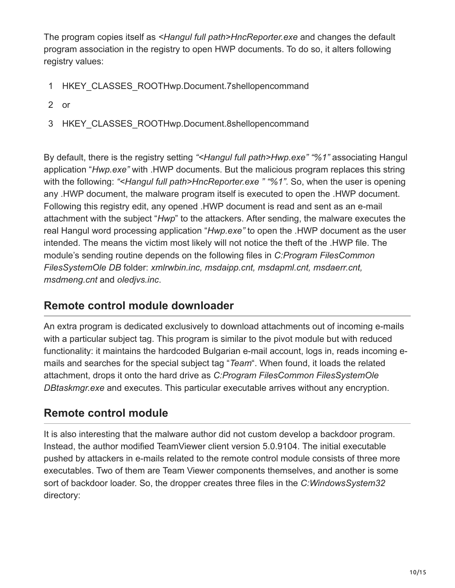The program copies itself as *<Hangul full path>HncReporter.exe* and changes the default program association in the registry to open HWP documents. To do so, it alters following registry values:

- 1 HKEY\_CLASSES\_ROOTHwp.Document.7shellopencommand
- 2 or
- 3 HKEY\_CLASSES\_ROOTHwp.Document.8shellopencommand

By default, there is the registry setting *"<Hangul full path>Hwp.exe" "%1"* associating Hangul application "*Hwp.exe"* with .HWP documents. But the malicious program replaces this string with the following: *"<Hangul full path>HncReporter.exe " "%1"*. So, when the user is opening any .HWP document, the malware program itself is executed to open the .HWP document. Following this registry edit, any opened .HWP document is read and sent as an e-mail attachment with the subject "*Hwp*" to the attackers. After sending, the malware executes the real Hangul word processing application "*Hwp.exe"* to open the .HWP document as the user intended. The means the victim most likely will not notice the theft of the .HWP file. The module's sending routine depends on the following files in *C:Program FilesCommon FilesSystemOle DB* folder: *xmlrwbin.inc, msdaipp.cnt, msdapml.cnt, msdaerr.cnt, msdmeng.cnt* and *oledjvs.inc*.

#### **Remote control module downloader**

An extra program is dedicated exclusively to download attachments out of incoming e-mails with a particular subject tag. This program is similar to the pivot module but with reduced functionality: it maintains the hardcoded Bulgarian e-mail account, logs in, reads incoming emails and searches for the special subject tag "*Team*". When found, it loads the related attachment, drops it onto the hard drive as *C:Program FilesCommon FilesSystemOle DBtaskmgr.exe* and executes. This particular executable arrives without any encryption.

### **Remote control module**

It is also interesting that the malware author did not custom develop a backdoor program. Instead, the author modified TeamViewer client version 5.0.9104. The initial executable pushed by attackers in e-mails related to the remote control module consists of three more executables. Two of them are Team Viewer components themselves, and another is some sort of backdoor loader. So, the dropper creates three files in the *C:WindowsSystem32* directory: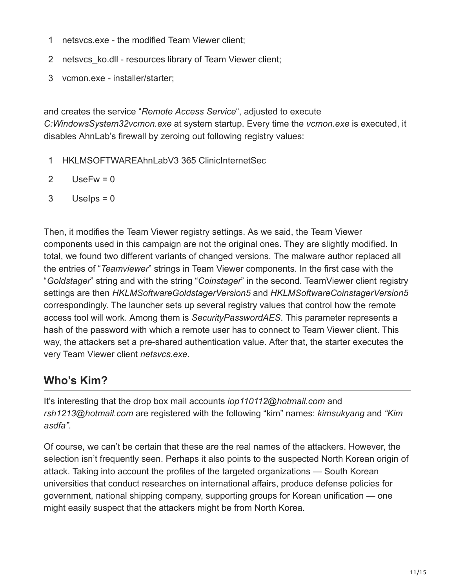- 1 netsvcs.exe - the modified Team Viewer client;
- 2 netsvcs\_ko.dll resources library of Team Viewer client;
- 3 vcmon.exe installer/starter;

and creates the service "*Remote Access Service*", adjusted to execute *C:WindowsSystem32vcmon.exe* at system startup. Every time the *vcmon.exe* is executed, it disables AhnLab's firewall by zeroing out following registry values:

- 1 HKLMSOFTWAREAhnLabV3 365 ClinicInternetSec
- 2  $UseFw = 0$
- 3 Uselps  $= 0$

Then, it modifies the Team Viewer registry settings. As we said, the Team Viewer components used in this campaign are not the original ones. They are slightly modified. In total, we found two different variants of changed versions. The malware author replaced all the entries of "*Teamviewer*" strings in Team Viewer components. In the first case with the "*Goldstager*" string and with the string "*Coinstager*" in the second. TeamViewer client registry settings are then *HKLMSoftwareGoldstagerVersion5* and *HKLMSoftwareCoinstagerVersion5* correspondingly. The launcher sets up several registry values that control how the remote access tool will work. Among them is *SecurityPasswordAES*. This parameter represents a hash of the password with which a remote user has to connect to Team Viewer client. This way, the attackers set a pre-shared authentication value. After that, the starter executes the very Team Viewer client *netsvcs.exe*.

### **Who's Kim?**

It's interesting that the drop box mail accounts *iop110112@hotmail.com* and *rsh1213@hotmail.com* are registered with the following "kim" names: *kimsukyang* and *"Kim asdfa"*.

Of course, we can't be certain that these are the real names of the attackers. However, the selection isn't frequently seen. Perhaps it also points to the suspected North Korean origin of attack. Taking into account the profiles of the targeted organizations — South Korean universities that conduct researches on international affairs, produce defense policies for government, national shipping company, supporting groups for Korean unification — one might easily suspect that the attackers might be from North Korea.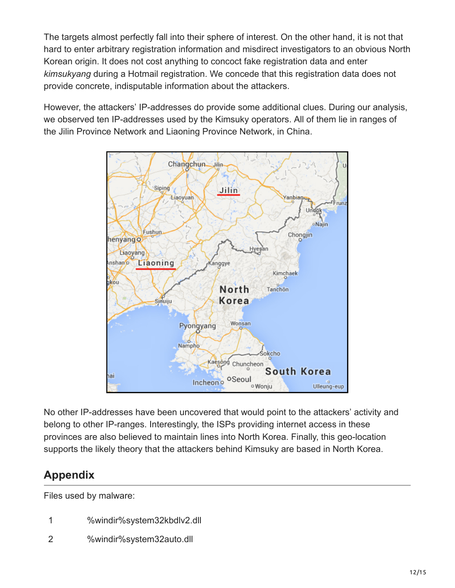The targets almost perfectly fall into their sphere of interest. On the other hand, it is not that hard to enter arbitrary registration information and misdirect investigators to an obvious North Korean origin. It does not cost anything to concoct fake registration data and enter *kimsukyang* during a Hotmail registration. We concede that this registration data does not provide concrete, indisputable information about the attackers.

However, the attackers' IP-addresses do provide some additional clues. During our analysis, we observed ten IP-addresses used by the Kimsuky operators. All of them lie in ranges of the Jilin Province Network and Liaoning Province Network, in China.



No other IP-addresses have been uncovered that would point to the attackers' activity and belong to other IP-ranges. Interestingly, the ISPs providing internet access in these provinces are also believed to maintain lines into North Korea. Finally, this geo-location supports the likely theory that the attackers behind Kimsuky are based in North Korea.

# **Appendix**

Files used by malware:

- 1 %windir%system32kbdlv2.dll
- 2 %windir%system32auto.dll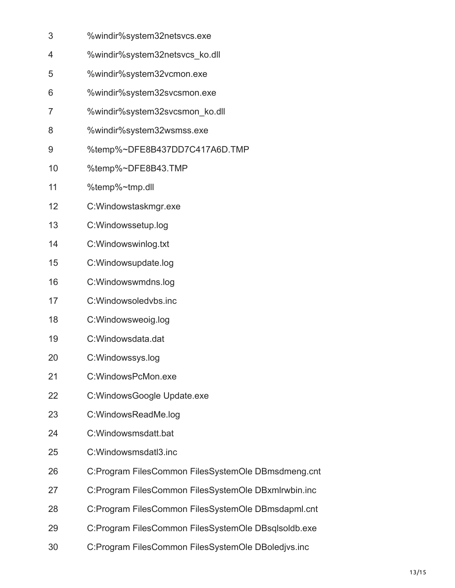- 3 %windir%system32netsvcs.exe
- 4 %windir%system32netsvcs\_ko.dll
- 5 %windir%system32vcmon.exe
- 6 %windir%system32svcsmon.exe
- 7 %windir%system32svcsmon\_ko.dll
- 8 %windir%system32wsmss.exe
- 9 %temp%~DFE8B437DD7C417A6D.TMP
- 10 %temp%~DFE8B43.TMP
- 11 %temp%~tmp.dll
- 12 C:Windowstaskmgr.exe
- 13 C:Windowssetup.log
- 14 C:Windowswinlog.txt
- 15 C:Windowsupdate.log
- 16 C:Windowswmdns.log
- 17 C:Windowsoledvbs.inc
- 18 C:Windowsweoig.log
- 19 C:Windowsdata.dat
- 20 C:Windowssys.log
- 21 C:WindowsPcMon.exe
- 22 C:WindowsGoogle Update.exe
- 23 C:WindowsReadMe.log
- 24 C:Windowsmsdatt.bat
- 25 C:Windowsmsdatl3.inc
- 26 C:Program FilesCommon FilesSystemOle DBmsdmeng.cnt
- 27 C:Program FilesCommon FilesSystemOle DBxmlrwbin.inc
- 28 C:Program FilesCommon FilesSystemOle DBmsdapml.cnt
- 29 C:Program FilesCommon FilesSystemOle DBsqlsoldb.exe
- 30 C:Program FilesCommon FilesSystemOle DBoledjvs.inc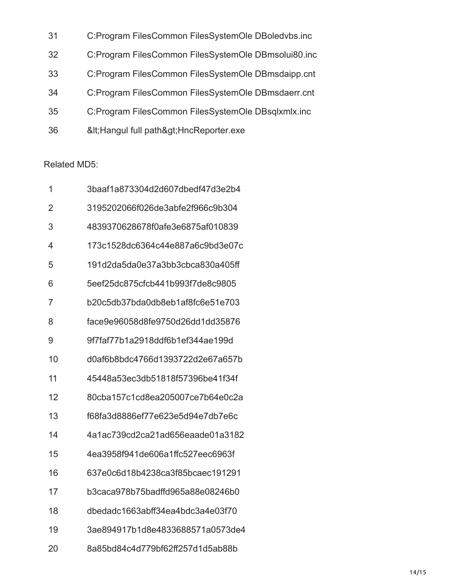| 31 | C:Program FilesCommon FilesSystemOle DBoledvbs.inc  |
|----|-----------------------------------------------------|
| 32 | C:Program FilesCommon FilesSystemOle DBmsolui80.inc |
| 33 | C:Program FilesCommon FilesSystemOle DBmsdaipp.cnt  |
| 34 | C:Program FilesCommon FilesSystemOle DBmsdaerr.cnt  |
| 35 | C:Program FilesCommon FilesSystemOle DBsqlxmlx.inc  |
| 36 | &It Hangul full path> HncReporter.exe               |

#### Related MD5:

| 1  | 3baaf1a873304d2d607dbedf47d3e2b4 |
|----|----------------------------------|
| 2  | 3195202066f026de3abfe2f966c9b304 |
| 3  | 4839370628678f0afe3e6875af010839 |
| 4  | 173c1528dc6364c44e887a6c9bd3e07c |
| 5  | 191d2da5da0e37a3bb3cbca830a405ff |
| 6  | 5eef25dc875cfcb441b993f7de8c9805 |
| 7  | b20c5db37bda0db8eb1af8fc6e51e703 |
| 8  | face9e96058d8fe9750d26dd1dd35876 |
| 9  | 9f7faf77b1a2918ddf6b1ef344ae199d |
| 10 | d0af6b8bdc4766d1393722d2e67a657b |
| 11 | 45448a53ec3db51818f57396be41f34f |
| 12 | 80cba157c1cd8ea205007ce7b64e0c2a |
| 13 | f68fa3d8886ef77e623e5d94e7db7e6c |
| 14 | 4a1ac739cd2ca21ad656eaade01a3182 |
| 15 | 4ea3958f941de606a1ffc527eec6963f |
| 16 | 637e0c6d18b4238ca3f85bcaec191291 |
| 17 | b3caca978b75badffd965a88e08246b0 |
| 18 | dbedadc1663abff34ea4bdc3a4e03f70 |
| 19 | 3ae894917b1d8e4833688571a0573de4 |
| 20 | 8a85bd84c4d779bf62ff257d1d5ab88b |